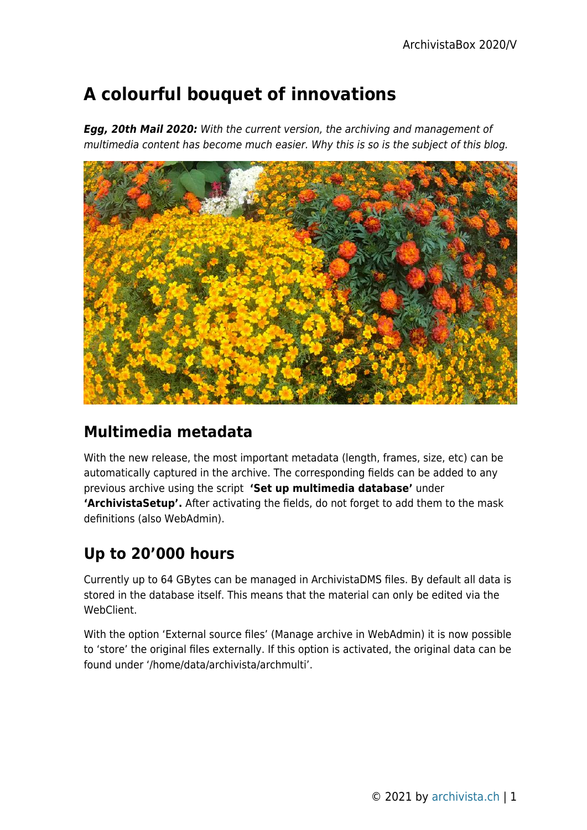# **A colourful bouquet of innovations**

*Egg, 20th Mail 2020:* With the current version, the archiving and management of multimedia content has become much easier. Why this is so is the subject of this blog.



#### **Multimedia metadata**

With the new release, the most important metadata (length, frames, size, etc) can be automatically captured in the archive. The corresponding fields can be added to any previous archive using the script **'Set up multimedia database'** under **'ArchivistaSetup'.** After activating the fields, do not forget to add them to the mask definitions (also WebAdmin).

# **Up to 20'000 hours**

Currently up to 64 GBytes can be managed in ArchivistaDMS files. By default all data is stored in the database itself. This means that the material can only be edited via the WebClient.

With the option 'External source files' (Manage archive in WebAdmin) it is now possible to 'store' the original files externally. If this option is activated, the original data can be found under '/home/data/archivista/archmulti'.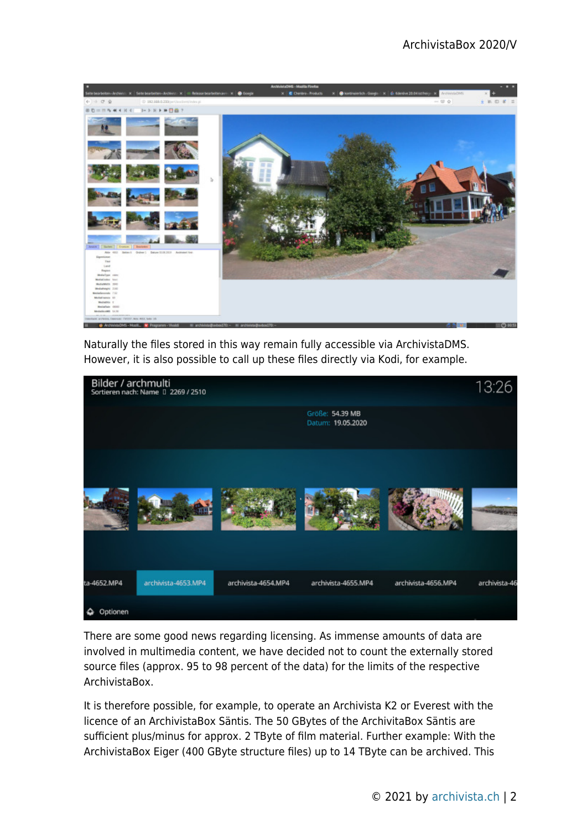

Naturally the files stored in this way remain fully accessible via ArchivistaDMS. However, it is also possible to call up these files directly via Kodi, for example.

| Bilder / archmulti<br>Sortieren nach: Name 0 2269 / 2510 |                     |                     |                                      |                     | 13:26         |
|----------------------------------------------------------|---------------------|---------------------|--------------------------------------|---------------------|---------------|
|                                                          |                     |                     | Größe: 54.39 MB<br>Datum: 19.05.2020 |                     |               |
|                                                          |                     |                     |                                      |                     |               |
|                                                          |                     |                     |                                      |                     |               |
|                                                          |                     |                     |                                      |                     |               |
| ta-4652.MP4                                              | archivista-4653.MP4 | archivista-4654.MP4 | archivista-4655.MP4                  | archivista-4656.MP4 | archivista-46 |
| ۵<br>Optionen                                            |                     |                     |                                      |                     |               |

There are some good news regarding licensing. As immense amounts of data are involved in multimedia content, we have decided not to count the externally stored source files (approx. 95 to 98 percent of the data) for the limits of the respective ArchivistaBox.

It is therefore possible, for example, to operate an Archivista K2 or Everest with the licence of an ArchivistaBox Säntis. The 50 GBytes of the ArchivitaBox Säntis are sufficient plus/minus for approx. 2 TByte of film material. Further example: With the ArchivistaBox Eiger (400 GByte structure files) up to 14 TByte can be archived. This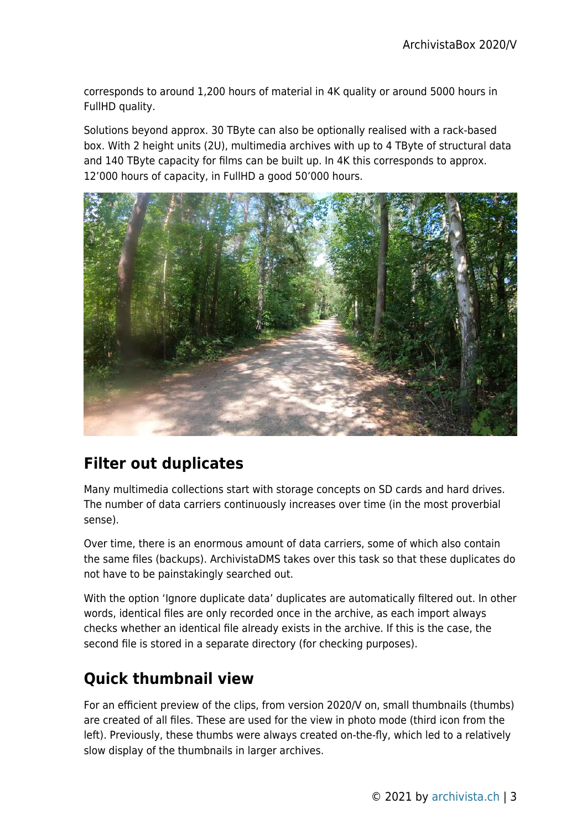corresponds to around 1,200 hours of material in 4K quality or around 5000 hours in FullHD quality.

Solutions beyond approx. 30 TByte can also be optionally realised with a rack-based box. With 2 height units (2U), multimedia archives with up to 4 TByte of structural data and 140 TByte capacity for films can be built up. In 4K this corresponds to approx. 12'000 hours of capacity, in FullHD a good 50'000 hours.



### **Filter out duplicates**

Many multimedia collections start with storage concepts on SD cards and hard drives. The number of data carriers continuously increases over time (in the most proverbial sense).

Over time, there is an enormous amount of data carriers, some of which also contain the same files (backups). ArchivistaDMS takes over this task so that these duplicates do not have to be painstakingly searched out.

With the option 'Ignore duplicate data' duplicates are automatically filtered out. In other words, identical files are only recorded once in the archive, as each import always checks whether an identical file already exists in the archive. If this is the case, the second file is stored in a separate directory (for checking purposes).

### **Quick thumbnail view**

For an efficient preview of the clips, from version 2020/V on, small thumbnails (thumbs) are created of all files. These are used for the view in photo mode (third icon from the left). Previously, these thumbs were always created on-the-fly, which led to a relatively slow display of the thumbnails in larger archives.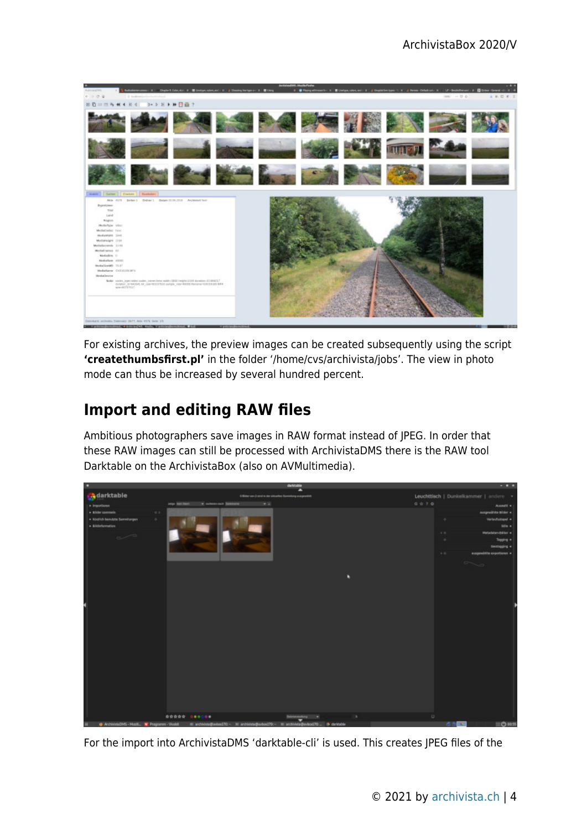

For existing archives, the preview images can be created subsequently using the script **'createthumbsfirst.pl'** in the folder '/home/cvs/archivista/jobs'. The view in photo mode can thus be increased by several hundred percent.

# **Import and editing RAW files**

Ambitious photographers save images in RAW format instead of JPEG. In order that these RAW images can still be processed with ArchivistaDMS there is the RAW tool Darktable on the ArchivistaBox (also on AVMultimedia).



For the import into ArchivistaDMS 'darktable-cli' is used. This creates JPEG files of the